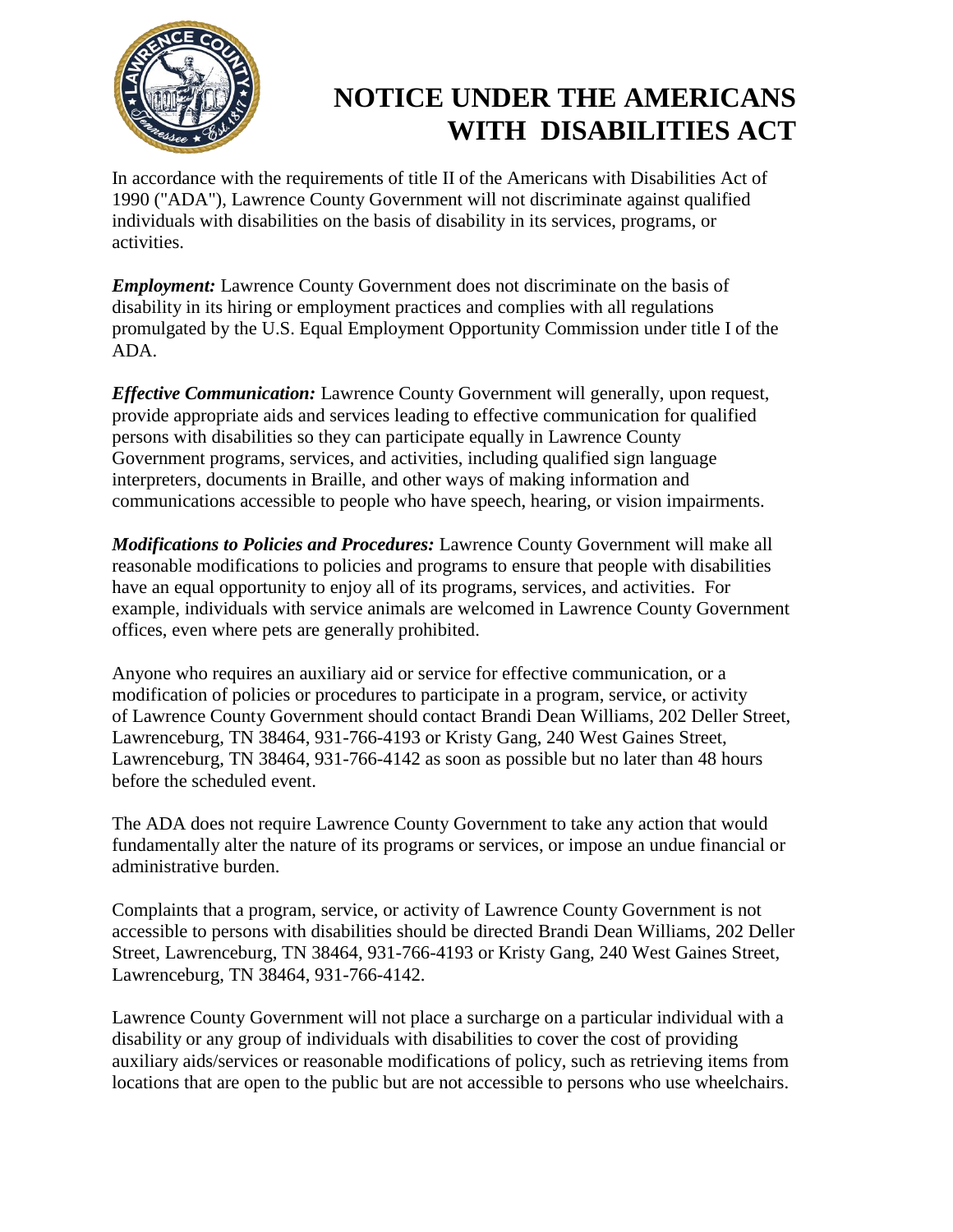

## **NOTICE UNDER THE AMERICANS WITH DISABILITIES ACT**

In accordance with the requirements of title II of the Americans with Disabilities Act of 1990 ("ADA"), Lawrence County Government will not discriminate against qualified individuals with disabilities on the basis of disability in its services, programs, or activities.

*Employment:* Lawrence County Government does not discriminate on the basis of disability in its hiring or employment practices and complies with all regulations promulgated by the U.S. Equal Employment Opportunity Commission under title I of the ADA.

*Effective Communication:* Lawrence County Government will generally, upon request, provide appropriate aids and services leading to effective communication for qualified persons with disabilities so they can participate equally in Lawrence County Government programs, services, and activities, including qualified sign language interpreters, documents in Braille, and other ways of making information and communications accessible to people who have speech, hearing, or vision impairments.

*Modifications to Policies and Procedures:* Lawrence County Government will make all reasonable modifications to policies and programs to ensure that people with disabilities have an equal opportunity to enjoy all of its programs, services, and activities. For example, individuals with service animals are welcomed in Lawrence County Government offices, even where pets are generally prohibited.

Anyone who requires an auxiliary aid or service for effective communication, or a modification of policies or procedures to participate in a program, service, or activity of Lawrence County Government should contact Brandi Dean Williams, 202 Deller Street, Lawrenceburg, TN 38464, 931-766-4193 or Kristy Gang, 240 West Gaines Street, Lawrenceburg, TN 38464, 931-766-4142 as soon as possible but no later than 48 hours before the scheduled event.

The ADA does not require Lawrence County Government to take any action that would fundamentally alter the nature of its programs or services, or impose an undue financial or administrative burden.

Complaints that a program, service, or activity of Lawrence County Government is not accessible to persons with disabilities should be directed Brandi Dean Williams, 202 Deller Street, Lawrenceburg, TN 38464, 931-766-4193 or Kristy Gang, 240 West Gaines Street, Lawrenceburg, TN 38464, 931-766-4142.

Lawrence County Government will not place a surcharge on a particular individual with a disability or any group of individuals with disabilities to cover the cost of providing auxiliary aids/services or reasonable modifications of policy, such as retrieving items from locations that are open to the public but are not accessible to persons who use wheelchairs.